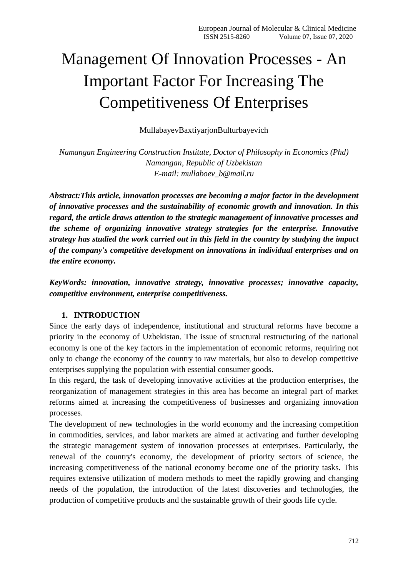# Management Of Innovation Processes - An Important Factor For Increasing The Competitiveness Of Enterprises

MullabayevBaxtiyarjonBulturbayevich

*Namangan Engineering Construction Institute, Doctor of Philosophy in Economics (Phd) Namangan, Republic of Uzbekistan E-mail: [mullaboev\\_b@mail.ru](mailto:mullaboev_b@mail.ru)*

*Abstract:This article, innovation processes are becoming a major factor in the development of innovative processes and the sustainability of economic growth and innovation. In this regard, the article draws attention to the strategic management of innovative processes and the scheme of organizing innovative strategy strategies for the enterprise. Innovative strategy has studied the work carried out in this field in the country by studying the impact of the company's competitive development on innovations in individual enterprises and on the entire economy.*

*KeyWords: innovation, innovative strategy, innovative processes; innovative capacity, competitive environment, enterprise competitiveness.*

## **1. INTRODUCTION**

Since the early days of independence, institutional and structural reforms have become a priority in the economy of Uzbekistan. The issue of structural restructuring of the national economy is one of the key factors in the implementation of economic reforms, requiring not only to change the economy of the country to raw materials, but also to develop competitive enterprises supplying the population with essential consumer goods.

In this regard, the task of developing innovative activities at the production enterprises, the reorganization of management strategies in this area has become an integral part of market reforms aimed at increasing the competitiveness of businesses and organizing innovation processes.

The development of new technologies in the world economy and the increasing competition in commodities, services, and labor markets are aimed at activating and further developing the strategic management system of innovation processes at enterprises. Particularly, the renewal of the country's economy, the development of priority sectors of science, the increasing competitiveness of the national economy become one of the priority tasks. This requires extensive utilization of modern methods to meet the rapidly growing and changing needs of the population, the introduction of the latest discoveries and technologies, the production of competitive products and the sustainable growth of their goods life cycle.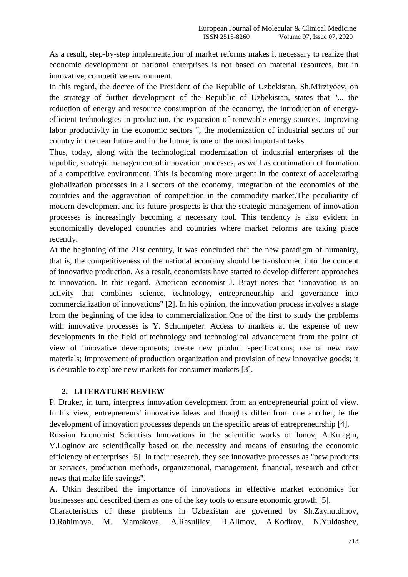As a result, step-by-step implementation of market reforms makes it necessary to realize that economic development of national enterprises is not based on material resources, but in innovative, competitive environment.

In this regard, the decree of the President of the Republic of Uzbekistan, Sh.Mirziyoev, on the strategy of further development of the Republic of Uzbekistan, states that "... the reduction of energy and resource consumption of the economy, the introduction of energyefficient technologies in production, the expansion of renewable energy sources, Improving labor productivity in the economic sectors ", the modernization of industrial sectors of our country in the near future and in the future, is one of the most important tasks.

Thus, today, along with the technological modernization of industrial enterprises of the republic, strategic management of innovation processes, as well as continuation of formation of a competitive environment. This is becoming more urgent in the context of accelerating globalization processes in all sectors of the economy, integration of the economies of the countries and the aggravation of competition in the commodity market.The peculiarity of modern development and its future prospects is that the strategic management of innovation processes is increasingly becoming a necessary tool. This tendency is also evident in economically developed countries and countries where market reforms are taking place recently.

At the beginning of the 21st century, it was concluded that the new paradigm of humanity, that is, the competitiveness of the national economy should be transformed into the concept of innovative production. As a result, economists have started to develop different approaches to innovation. In this regard, American economist J. Brayt notes that "innovation is an activity that combines science, technology, entrepreneurship and governance into commercialization of innovations" [2]. In his opinion, the innovation process involves a stage from the beginning of the idea to commercialization.One of the first to study the problems with innovative processes is Y. Schumpeter. Access to markets at the expense of new developments in the field of technology and technological advancement from the point of view of innovative developments; create new product specifications; use of new raw materials; Improvement of production organization and provision of new innovative goods; it is desirable to explore new markets for consumer markets [3].

## **2. LITERATURE REVIEW**

P. Druker, in turn, interprets innovation development from an entrepreneurial point of view. In his view, entrepreneurs' innovative ideas and thoughts differ from one another, ie the development of innovation processes depends on the specific areas of entrepreneurship [4].

Russian Economist Scientists Innovations in the scientific works of Ionov, A.Kulagin, V.Loginov are scientifically based on the necessity and means of ensuring the economic efficiency of enterprises [5]. In their research, they see innovative processes as "new products or services, production methods, organizational, management, financial, research and other news that make life savings".

A. Utkin described the importance of innovations in effective market economics for businesses and described them as one of the key tools to ensure economic growth [5].

Characteristics of these problems in Uzbekistan are governed by Sh.Zaynutdinov, D.Rahimova, M. Mamakova, A.Rasulilev, R.Alimov, A.Kodirov, N.Yuldashev,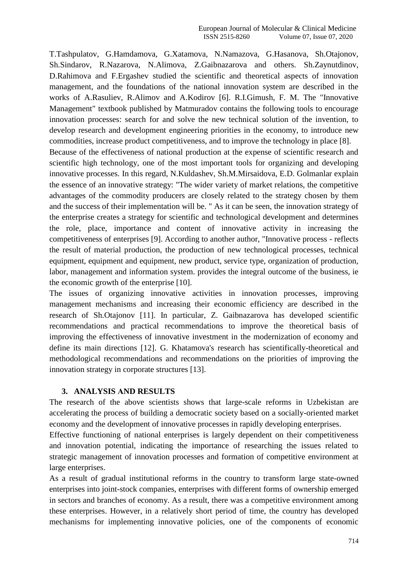T.Tashpulatov, G.Hamdamova, G.Xatamova, N.Namazova, G.Hasanova, Sh.Otajonov, Sh.Sindarov, R.Nazarova, N.Alimova, Z.Gaibnazarova and others. Sh.Zaynutdinov, D.Rahimova and F.Ergashev studied the scientific and theoretical aspects of innovation management, and the foundations of the national innovation system are described in the works of A.Rasuliev, R.Alimov and A.Kodirov [6]. R.I.Gimush, F. M. The "Innovative Management" textbook published by Matmuradov contains the following tools to encourage innovation processes: search for and solve the new technical solution of the invention, to develop research and development engineering priorities in the economy, to introduce new commodities, increase product competitiveness, and to improve the technology in place [8].

Because of the effectiveness of national production at the expense of scientific research and scientific high technology, one of the most important tools for organizing and developing innovative processes. In this regard, N.Kuldashev, Sh.M.Mirsaidova, E.D. Golmanlar explain the essence of an innovative strategy: "The wider variety of market relations, the competitive advantages of the commodity producers are closely related to the strategy chosen by them and the success of their implementation will be. " As it can be seen, the innovation strategy of the enterprise creates a strategy for scientific and technological development and determines the role, place, importance and content of innovative activity in increasing the competitiveness of enterprises [9]. According to another author, "Innovative process - reflects the result of material production, the production of new technological processes, technical equipment, equipment and equipment, new product, service type, organization of production, labor, management and information system. provides the integral outcome of the business, ie the economic growth of the enterprise [10].

The issues of organizing innovative activities in innovation processes, improving management mechanisms and increasing their economic efficiency are described in the research of Sh.Otajonov [11]. In particular, Z. Gaibnazarova has developed scientific recommendations and practical recommendations to improve the theoretical basis of improving the effectiveness of innovative investment in the modernization of economy and define its main directions [12]. G. Khatamova's research has scientifically-theoretical and methodological recommendations and recommendations on the priorities of improving the innovation strategy in corporate structures [13].

#### **3. ANALYSIS АND RESULTS**

The research of the above scientists shows that large-scale reforms in Uzbekistan are accelerating the process of building a democratic society based on a socially-oriented market economy and the development of innovative processes in rapidly developing enterprises.

Effective functioning of national enterprises is largely dependent on their competitiveness and innovation potential, indicating the importance of researching the issues related to strategic management of innovation processes and formation of competitive environment at large enterprises.

As a result of gradual institutional reforms in the country to transform large state-owned enterprises into joint-stock companies, enterprises with different forms of ownership emerged in sectors and branches of economy. As a result, there was a competitive environment among these enterprises. However, in a relatively short period of time, the country has developed mechanisms for implementing innovative policies, one of the components of economic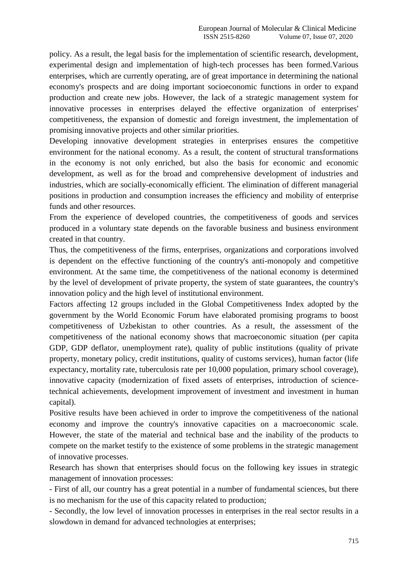policy. As a result, the legal basis for the implementation of scientific research, development, experimental design and implementation of high-tech processes has been formed.Various enterprises, which are currently operating, are of great importance in determining the national economy's prospects and are doing important socioeconomic functions in order to expand production and create new jobs. However, the lack of a strategic management system for innovative processes in enterprises delayed the effective organization of enterprises' competitiveness, the expansion of domestic and foreign investment, the implementation of promising innovative projects and other similar priorities.

Developing innovative development strategies in enterprises ensures the competitive environment for the national economy. As a result, the content of structural transformations in the economy is not only enriched, but also the basis for economic and economic development, as well as for the broad and comprehensive development of industries and industries, which are socially-economically efficient. The elimination of different managerial positions in production and consumption increases the efficiency and mobility of enterprise funds and other resources.

From the experience of developed countries, the competitiveness of goods and services produced in a voluntary state depends on the favorable business and business environment created in that country.

Thus, the competitiveness of the firms, enterprises, organizations and corporations involved is dependent on the effective functioning of the country's anti-monopoly and competitive environment. At the same time, the competitiveness of the national economy is determined by the level of development of private property, the system of state guarantees, the country's innovation policy and the high level of institutional environment.

Factors affecting 12 groups included in the Global Competitiveness Index adopted by the government by the World Economic Forum have elaborated promising programs to boost competitiveness of Uzbekistan to other countries. As a result, the assessment of the competitiveness of the national economy shows that macroeconomic situation (per capita GDP, GDP deflator, unemployment rate), quality of public institutions (quality of private property, monetary policy, credit institutions, quality of customs services), human factor (life expectancy, mortality rate, tuberculosis rate per 10,000 population, primary school coverage), innovative capacity (modernization of fixed assets of enterprises, introduction of sciencetechnical achievements, development improvement of investment and investment in human capital).

Positive results have been achieved in order to improve the competitiveness of the national economy and improve the country's innovative capacities on a macroeconomic scale. However, the state of the material and technical base and the inability of the products to compete on the market testify to the existence of some problems in the strategic management of innovative processes.

Research has shown that enterprises should focus on the following key issues in strategic management of innovation processes:

- First of all, our country has a great potential in a number of fundamental sciences, but there is no mechanism for the use of this capacity related to production;

- Secondly, the low level of innovation processes in enterprises in the real sector results in a slowdown in demand for advanced technologies at enterprises;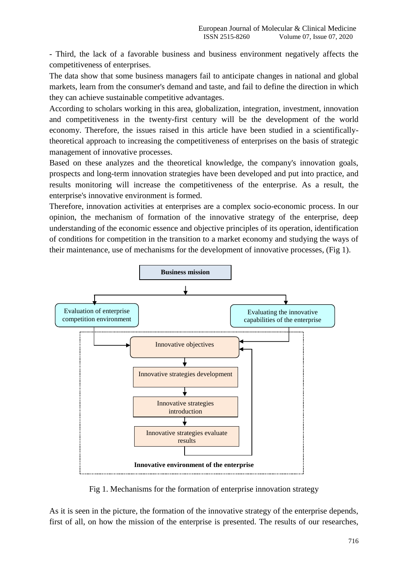- Third, the lack of a favorable business and business environment negatively affects the competitiveness of enterprises.

The data show that some business managers fail to anticipate changes in national and global markets, learn from the consumer's demand and taste, and fail to define the direction in which they can achieve sustainable competitive advantages.

According to scholars working in this area, globalization, integration, investment, innovation and competitiveness in the twenty-first century will be the development of the world economy. Therefore, the issues raised in this article have been studied in a scientificallytheoretical approach to increasing the competitiveness of enterprises on the basis of strategic management of innovative processes.

Based on these analyzes and the theoretical knowledge, the company's innovation goals, prospects and long-term innovation strategies have been developed and put into practice, and results monitoring will increase the competitiveness of the enterprise. As a result, the enterprise's innovative environment is formed.

Therefore, innovation activities at enterprises are a complex socio-economic process. In our opinion, the mechanism of formation of the innovative strategy of the enterprise, deep understanding of the economic essence and objective principles of its operation, identification of conditions for competition in the transition to a market economy and studying the ways of their maintenance, use of mechanisms for the development of innovative processes, (Fig 1).



Fig 1. Mechanisms for the formation of enterprise innovation strategy

As it is seen in the picture, the formation of the innovative strategy of the enterprise depends, first of all, on how the mission of the enterprise is presented. The results of our researches,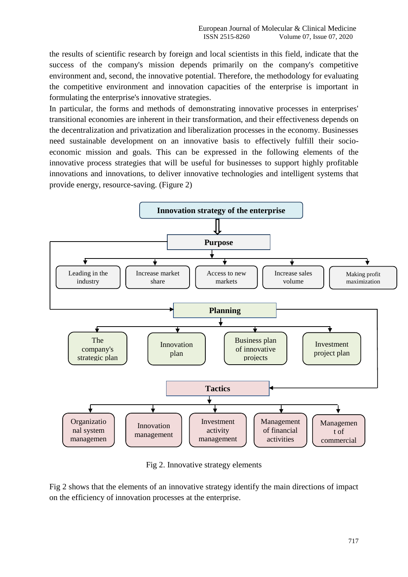the results of scientific research by foreign and local scientists in this field, indicate that the success of the company's mission depends primarily on the company's competitive environment and, second, the innovative potential. Therefore, the methodology for evaluating the competitive environment and innovation capacities of the enterprise is important in formulating the enterprise's innovative strategies.

In particular, the forms and methods of demonstrating innovative processes in enterprises' transitional economies are inherent in their transformation, and their effectiveness depends on the decentralization and privatization and liberalization processes in the economy. Businesses need sustainable development on an innovative basis to effectively fulfill their socioeconomic mission and goals. This can be expressed in the following elements of the innovative process strategies that will be useful for businesses to support highly profitable innovations and innovations, to deliver innovative technologies and intelligent systems that provide energy, resource-saving. (Figure 2)



Fig 2. Innovative strategy elements

Fig 2 shows that the elements of an innovative strategy identify the main directions of impact on the efficiency of innovation processes at the enterprise.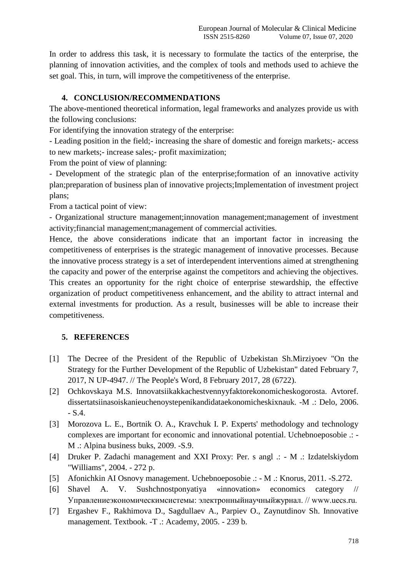In order to address this task, it is necessary to formulate the tactics of the enterprise, the planning of innovation activities, and the complex of tools and methods used to achieve the set goal. This, in turn, will improve the competitiveness of the enterprise.

## **4. CONCLUSION/RECOMMENDATIONS**

The above-mentioned theoretical information, legal frameworks and analyzes provide us with the following conclusions:

For identifying the innovation strategy of the enterprise:

- Leading position in the field;- increasing the share of domestic and foreign markets;- access to new markets;- increase sales;- profit maximization;

From the point of view of planning:

- Development of the strategic plan of the enterprise;formation of an innovative activity plan;preparation of business plan of innovative projects;Implementation of investment project plans;

From a tactical point of view:

- Organizational structure management;innovation management;management of investment activity;financial management;management of commercial activities.

Hence, the above considerations indicate that an important factor in increasing the competitiveness of enterprises is the strategic management of innovative processes. Because the innovative process strategy is a set of interdependent interventions aimed at strengthening the capacity and power of the enterprise against the competitors and achieving the objectives. This creates an opportunity for the right choice of enterprise stewardship, the effective organization of product competitiveness enhancement, and the ability to attract internal and external investments for production. As a result, businesses will be able to increase their competitiveness.

# **5. REFERENCES**

- [1] The Decree of the President of the Republic of Uzbekistan Sh.Mirziyoev "On the Strategy for the Further Development of the Republic of Uzbekistan" dated February 7, 2017, N UP-4947. // The People's Word, 8 February 2017, 28 (6722).
- [2] Ochkovskaya M.S. Innovatsiikakkachestvennyyfaktorekonomicheskogorosta. Avtoref. dissertatsiinasoiskanieuchenoystepenikandidataekonomicheskixnauk. -M .: Delo, 2006. - S.4.
- [3] Morozova L. E., Bortnik O. A., Kravchuk I. P. Experts' methodology and technology complexes are important for economic and innovational potential. Uchebnoeposobie .: - M .: Alpina business buks, 2009. -S.9.
- [4] Druker P. Zadachi management and XXI Proxy: Per. s angl .: M .: Izdatelskiydom "Williams", 2004. - 272 p.
- [5] Afonichkin AI Osnovy management. Uchebnoeposobie .: M .: Knorus, 2011. -S.272.
- [6] Shavel A. V. Sushchnostponyatiya «innovation» economics category // Управлениеэкономическимсистемы: электронныйнаучныйжурнал. // www.uecs.ru.
- [7] Ergashev F., Rakhimova D., Sagdullaev A., Parpiev O., Zaynutdinov Sh. Innovative management. Textbook. -T .: Academy, 2005. - 239 b.